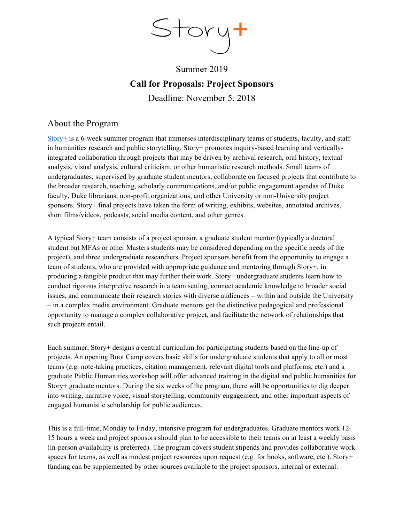$Story+$ 

# Summer 2019 **Call for Proposals: Project Sponsors** Deadline: November 5, 2018

# About the Program

Story+ is a 6-week summer program that immerses interdisciplinary teams of students, faculty, and staff in humanities research and public storytelling. Story+ promotes inquiry-based learning and verticallyintegrated collaboration through projects that may be driven by archival research, oral history, textual analysis, visual analysis, cultural criticism, or other humanistic research methods. Small teams of undergraduates, supervised by graduate student mentors, collaborate on focused projects that contribute to the broader research, teaching, scholarly communications, and/or public engagement agendas of Duke faculty, Duke librarians, non-profit organizations, and other University or non-University project sponsors. Story+ final projects have taken the form of writing, exhibits, websites, annotated archives, short films/videos, podcasts, social media content, and other genres.

A typical Story+ team consists of a project sponsor, a graduate student mentor (typically a doctoral student but MFAs or other Masters students may be considered depending on the specific needs of the project), and three undergraduate researchers. Project sponsors benefit from the opportunity to engage a team of students, who are provided with appropriate guidance and mentoring through Story+, in producing a tangible product that may further their work. Story+ undergraduate students learn how to conduct rigorous interpretive research in a team setting, connect academic knowledge to broader social issues, and communicate their research stories with diverse audiences – within and outside the University – in a complex media environment. Graduate mentors get the distinctive pedagogical and professional opportunity to manage a complex collaborative project, and facilitate the network of relationships that such projects entail.

Each summer, Story+ designs a central curriculum for participating students based on the line-up of projects. An opening Boot Camp covers basic skills for undergraduate students that apply to all or most teams (e.g. note-taking practices, citation management, relevant digital tools and platforms, etc.) and a graduate Public Humanities workshop will offer advanced training in the digital and public humanities for Story+ graduate mentors. During the six weeks of the program, there will be opportunities to dig deeper into writing, narrative voice, visual storytelling, community engagement, and other important aspects of engaged humanistic scholarship for public audiences.

This is a full-time, Monday to Friday, intensive program for undergraduates. Graduate mentors work 12- 15 hours a week and project sponsors should plan to be accessible to their teams on at least a weekly basis (in-person availability is preferred). The program covers student stipends and provides collaborative work spaces for teams, as well as modest project resources upon request (e.g. for books, software, etc.). Story+ funding can be supplemented by other sources available to the project sponsors, internal or external.